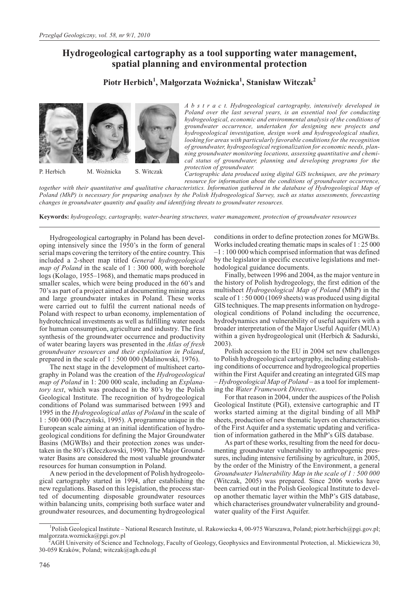# **Hydrogeological cartography as a tool supporting water management, spatial planning and environmental protection**

# **Piotr Herbich<sup>1</sup> , Ma³gorzata WoŸnicka<sup>1</sup> , Stanis³aw Witczak2**



P. Herbich M. Woźnicka S. Witczak

*A b s t r a c t. Hydrogeological cartography, intensively developed in Poland over the last several years, is an essential tool for conducting hydrogeological, economic and environmental analysis of the conditions of groundwater occurrence, undertaken for designing new projects and hydrogeological investigation, design work and hydrogeological studies, looking for areas with particularly favorable conditions for the recognition of groundwater, hydrogeological regionalization for economic needs, planning groundwater monitoring locations, assessing quantitative and chemical status of groundwater, planning and developing programs for the protection of groundwater.*

*Cartographic data produced using digital GIS techniques, are the primary resource for information about the conditions of groundwater occurrence,*

*together with their quantitative and qualitative characteristics. Information gathered in the database of Hydrogeological Map of Poland (MhP) is necessary for preparing analyses by the Polish Hydrogeological Survey, such as status assessments, forecasting changes in groundwater quantity and quality and identifying threats to groundwater resources.*

**Keywords:** *hydrogeology, cartography, water-bearing structures, water management, protection of groundwater resources*

Hydrogeological cartography in Poland has been developing intensively since the 1950's in the form of general serial maps covering the territory of the entire country. This included a 2-sheet map titled *General hydrogeological map of Poland* in the scale of 1 : 300 000, with borehole logs (Kolago, 1955–1968), and thematic maps produced in smaller scales, which were being produced in the 60's and 70's as part of a project aimed at documenting mining areas and large groundwater intakes in Poland. These works were carried out to fulfil the current national needs of Poland with respect to urban economy, implementation of hydrotechnical investments as well as fulfilling water needs for human consumption, agriculture and industry. The first synthesis of the groundwater occurrence and productivity of water bearing layers was presented in the *Atlas of fresh groundwater resources and their exploitation in Poland*, prepared in the scale of 1 : 500 000 (Malinowski, 1976).

The next stage in the development of multisheet cartography in Poland was the creation of the *Hydrogeological map of Poland* in 1: 200 000 scale, including an *Explanatory text*, which was produced in the 80's by the Polish Geological Institute. The recognition of hydrogeological conditions of Poland was summarised between 1993 and 1995 in the *Hydrogeological atlas of Poland* in the scale of 1 : 500 000 (Paczyñski, 1995). A programme unique in the European scale aiming at an initial identification of hydrogeological conditions for defining the Major Groundwater Basins (MGWBs) and their protection zones was undertaken in the 80's (Kleczkowski, 1990). The Major Groundwater Basins are considered the most valuable groundwater resources for human consumption in Poland.

A new period in the development of Polish hydrogeological cartography started in 1994, after establishing the new regulations. Based on this legislation, the process started of documenting disposable groundwater resources within balancing units, comprising both surface water and groundwater resources, and documenting hydrogeological conditions in order to define protection zones for MGWBs. Works included creating thematic maps in scales of 1 : 25 000 –1 : 100 000 which comprised information that was defined by the legislator in specific executive legislations and methodological guidance documents.

Finally, between 1996 and 2004, as the major venture in the history of Polish hydrogeology, the first edition of the multisheet *Hydrogeological Map of Poland* (MhP) in the scale of 1 : 50 000 (1069 sheets) was produced using digital GIS techniques. The map presents information on hydrogeological conditions of Poland including the occurrence, hydrodynamics and vulnerability of useful aquifers with a broader interpretation of the Major Useful Aquifer (MUA) within a given hydrogeological unit (Herbich & Sadurski, 2003).

Polish accession to the EU in 2004 set new challenges to Polish hydrogeological cartography, including establishing conditions of occurrence and hydrogeological properties within the First Aquifer and creating an integrated GIS map – *Hydrogeological Map of Poland* – as a tool for implementing the *Water Framework Directive*.

For that reason in 2004, under the auspices of the Polish Geological Institute (PGI), extensive cartographic and IT works started aiming at the digital binding of all MhP sheets, production of new thematic layers on characteristics of the First Aquifer and a systematic updating and verification of information gathered in the MhP's GIS database.

As part of these works, resulting from the need for documenting groundwater vulnerability to anthropogenic pressures, including intensive fertilising by agriculture, in 2005, by the order of the Ministry of the Environment, a general *Groundwater Vulnerability Map in the scale of 1 : 500 000* (Witczak, 2005) was prepared. Since 2006 works have been carried out in the Polish Geological Institute to develop another thematic layer within the MhP's GIS database, which characterises groundwater vulnerability and groundwater quality of the First Aquifer.

<sup>&</sup>lt;sup>1</sup>Polish Geological Institute – National Research Institute, ul. Rakowiecka 4, 00-975 Warszawa, Poland; piotr.herbich@pgi.gov.pl; malgorzata.woznicka@pgi.gov.pl <sup>2</sup>

AGH University of Science and Technology, Faculty of Geology, Geophysics and Environmental Protection, al. Mickiewicza 30, 30-059 Kraków, Poland; witczak@agh.edu.pl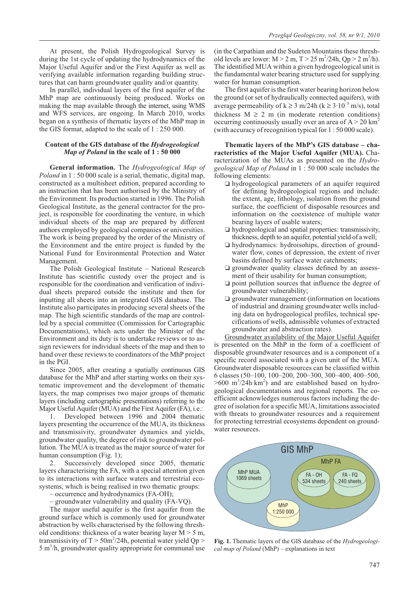At present, the Polish Hydrogeological Survey is during the 1st cycle of updating the hydrodynamics of the Major Useful Aquifer and/or the First Aquifer as well as verifying available information regarding building structures that can harm groundwater quality and/or quantity.

In parallel, individual layers of the first aquifer of the MhP map are continuously being produced. Works on making the map available through the internet, using WMS and WFS services, are ongoing. In March 2010, works began on a synthesis of thematic layers of the MhP map in the GIS format, adapted to the scale of 1 : 250 000.

## **Content of the GIS database of the** *Hydrogeological Map of Poland* **in the scale of 1 : 50 000**

**General information.** The *Hydrogeological Map of Poland* in 1 : 50 000 scale is a serial, thematic, digital map, constructed as a multisheet edition, prepared according to an instruction that has been authorised by the Ministry of the Environment. Its production started in 1996. The Polish Geological Institute, as the general contractor for the project, is responsible for coordinating the venture, in which individual sheets of the map are prepared by different authors employed by geological companies or universities. The work is being prepared by the order of the Ministry of the Environment and the entire project is funded by the National Fund for Environmental Protection and Water Management.

The Polish Geological Institute – National Research Institute has scientific custody over the project and is responsible for the coordination and verification of individual sheets prepared outside the institute and then for inputting all sheets into an integrated GIS database. The Institute also participates in producing several sheets of the map. The high scientific standards of the map are controlled by a special committee (Commission for Cartographic Documentations), which acts under the Minister of the Environment and its duty is to undertake reviews or to assign reviewers for individual sheets of the map and then to hand over these reviews to coordinators of the MhP project in the PGI.

Since 2005, after creating a spatially continuous GIS database for the MhP and after starting works on their systematic improvement and the development of thematic layers, the map comprises two major groups of thematic layers (including cartographic presentations) referring to the Major Useful Aquifer (MUA) and the First Aquifer (FA), i.e.:

1. Developed between 1996 and 2004 thematic layers presenting the occurrence of the MUA, its thickness and transmissivity, groundwater dynamics and yields, groundwater quality, the degree of risk to groundwater pollution. The MUA is treated as the major source of water for human consumption (Fig. 1);

2. Successively developed since 2005, thematic layers characterising the FA, with a special attention given to its interactions with surface waters and terrestrial ecosystems, which is being realised in two thematic groups:

– occurrence and hydrodynamics (FA-OH);

– groundwater vulnerability and quality (FA-VQ).

The major useful aquifer is the first aquifer from the ground surface which is commonly used for groundwater abstraction by wells characterised by the following threshold conditions: thickness of a water bearing layer  $M > 5$  m, transmissivity of  $T > 50 \text{m}^2/24$ h, potential water yield Qp > 5 m<sup>3</sup>/h, groundwater quality appropriate for communal use

(in the Carpathian and the Sudeten Mountains these threshold levels are lower:  $M > 2$  m,  $T > 25$  m<sup>2</sup>/24h, Qp > 2 m<sup>3</sup>/h). The identified MUA within a given hydrogeological unit is the fundamental water bearing structure used for supplying water for human consumption.

The first aquifer is the first water bearing horizon below the ground (or set of hydraulically connected aquifers), with average permeability of  $k \ge 3$  m/24h ( $k \ge 3 \cdot 10^{-5}$  m/s), total thickness  $M \ge 2$  m (in moderate retention conditions) occurring continuously usually over an area of  $A > 20$  km<sup>2</sup> (with accuracy of recognition typical for 1 : 50 000 scale).

**Thematic layers of the MhP's GIS database – characteristics of the Major Useful Aquifer (MUA).** Characterization of the MUAs as presented on the *Hydrogeological Map of Poland* in 1 : 50 000 scale includes the following elements:

- hydrogeological parameters of an aquifer required for defining hydrogeological regions and include: the extent, age, lithology, isolation from the ground surface, the coefficient of disposable resources and information on the coexistence of multiple water bearing layers of usable waters;
- hydrogeological and spatial properties: transmissivity, thickness, depth to an aquifer, potential yield of a well;
- hydrodynamics: hydroisohips, direction of groundwater flow, cones of depression, the extent of river basins defined by surface water catchments;
- groundwater quality classes defined by an assessment of their usability for human consumption;
- $\square$  point pollution sources that influence the degree of groundwater vulnerability;
- $\square$  groundwater management (information on locations of industrial and draining groundwater wells including data on hydrogeological profiles, technical specifications of wells, admissible volumes of extracted groundwater and abstraction rates).

Groundwater availability of the Major Useful Aquifer is presented on the MhP in the form of a coefficient of disposable groundwater resources and is a component of a specific record associated with a given unit of the MUA. Groundwater disposable resources can be classified within 6 classes (50–100, 100–200, 200–300, 300–400, 400–500,  $>600 \text{ m}^3/24 \text{h} \cdot \text{km}^2$ ) and are established based on hydrogeological documentations and regional reports. The coefficient acknowledges numerous factors including the degree of isolation for a specific MUA, limitations associated with threats to groundwater resources and a requirement for protecting terrestrial ecosystems dependent on groundwater resources.



**Fig. 1.** Thematic layers of the GIS database of the *Hydrogeological map of Poland* (MhP) – explanations in text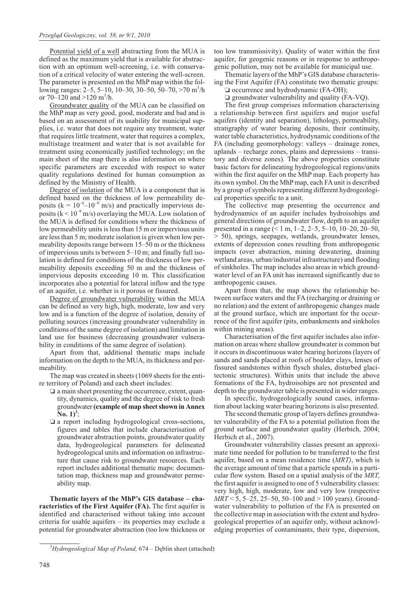Potential yield of a well abstracting from the MUA is defined as the maximum yield that is available for abstraction with an optimum well-screening, i.e. with conservation of a critical velocity of water entering the well-screen. The parameter is presented on the MhP map within the following ranges: 2–5, 5–10, 10–30, 30–50, 50–70, >70 m<sup>3</sup>/h or  $70-120$  and  $>120$  m<sup>3</sup>/h.

Groundwater quality of the MUA can be classified on the MhP map as very good, good, moderate and bad and is based on an assessment of its usability for municipal supplies, i.e. water that does not require any treatment, water that requires little treatment, water that requires a complex, multistage treatment and water that is not available for treatment using economically justified technology; on the main sheet of the map there is also information on where specific parameters are exceeded with respect to water quality regulations destined for human consumption as defined by the Ministry of Health.

Degree of isolation of the MUA is a component that is defined based on the thickness of low permeability deposits ( $k = 10^{-6} - 10^{-9}$  m/s) and practically impervious deposits ( $k < 10^{-9}$  m/s) overlaying the MUA. Low isolation of the MUA is defined for conditions where the thickness of low permeability units is less than 15 m or impervious units are less than 5 m; moderate isolation is given when low permeability deposits range between 15–50 m or the thickness of impervious units is between 5–10 m; and finally full isolation is defined for conditions of the thickness of low permeability deposits exceeding 50 m and the thickness of impervious deposits exceeding 10 m. This classification incorporates also a potential for lateral inflow and the type of an aquifer, i.e. whether is it porous or fissured.

Degree of groundwater vulnerability within the MUA can be defined as very high, high, moderate, low and very low and is a function of the degree of isolation, density of polluting sources (increasing groundwater vulnerability in conditions of the same degree of isolation) and limitation in land use for business (decreasing groundwater vulnerability in conditions of the same degree of isolation).

Apart from that, additional thematic maps include information on the depth to the MUA, its thickness and permeability.

The map was created in sheets (1069 sheets for the entire territory of Poland) and each sheet includes:

- $\square$  a main sheet presenting the occurrence, extent, quantity, dynamics, quality and the degree of risk to fresh groundwater **(example of map sheet shown in Annex**  $\mathbf{N_0}$ , 1)<sup>3</sup>;
- $\square$  a report including hydrogeological cross-sections, figures and tables that include characterisation of groundwater abstraction points, groundwater quality data, hydrogeological parameters for delineated hydrogeological units and information on infrastructure that cause risk to groundwater resources. Each report includes additional thematic maps: documentation map, thickness map and groundwater permeability map.

**Thematic layers of the MhP's GIS database – characteristics of the First Aquifer (FA).** The first aquifer is identified and characterised without taking into account criteria for usable aquifers – its properties may exclude a potential for groundwater abstraction (too low thickness or too low transmissivity). Quality of water within the first aquifer, for geogenic reasons or in response to anthropogenic pollution, may not be available for municipal use.

Thematic layers of the MhP's GIS database characterising the First Aquifer (FA) constitute two thematic groups:

 $\Box$  occurrence and hydrodynamic (FA-OH); - groundwater vulnerability and quality (FA-VQ).

The first group comprises information characterising a relationship between first aquifers and major useful aquifers (identity and separation), lithology, permeability, stratigraphy of water bearing deposits, their continuity, water table characteristics, hydrodynamic conditions of the FA (including geomorphology: valleys – drainage zones, uplands – recharge zones, plains and depressions – transitory and diverse zones). The above properties constitute basic factors for delineating hydrogeological regions/units within the first aquifer on the MhP map. Each property has its own symbol. On the MhP map, each FA unit is described by a group of symbols representing different hydrogeological properties specific to a unit.

The collective map presenting the occurrence and hydrodynamics of an aquifer includes hydroisohips and general directions of groundwater flow, depth to an aquifer presented in a range (< 1 m, 1–2, 2–5, 5–10, 10–20, 20–50, > 50), springs, seepages, wetlands, groundwater lenses, extents of depression cones resulting from anthropogenic impacts (over abstraction, mining dewatering, draining wetland areas, urban/industrial infrastructure) and flooding of sinkholes. The map includes also areas in which groundwater level of an FA unit has increased significantly due to anthropogenic causes.

Apart from that, the map shows the relationship between surface waters and the FA (recharging or draining or no relation) and the extent of anthropogenic changes made at the ground surface, which are important for the occurrence of the first aquifer (pits, embankments and sinkholes within mining areas).

Characterisation of the first aquifer includes also information on areas where shallow groundwater is common but it occurs in discontinuous water bearing horizons (layers of sands and sands placed at roofs of boulder clays, lenses of fissured sandstones within flysch shales, disturbed glacitectonic structures). Within units that include the above formations of the FA, hydroisohips are not presented and depth to the groundwater table is presented in wider ranges.

In specific, hydrogeologically sound cases, information about lacking water bearing horizons is also presented.

The second thematic group of layers defines groundwater vulnerability of the FA to a potential pollution from the ground surface and groundwater quality (Herbich, 2004; Herbich et al., 2007).

Groundwater vulnerability classes present an approximate time needed for pollution to be transferred to the first aquifer, based on a mean residence time (*MRT)*, which is the average amount of time that a particle spends in a particular flow system*.* Based on a spatial analysis of the *MRT*, the first aquifer is assigned to one of 5 vulnerability classes: very high, high, moderate, low and very low (respective *MRT* < 5, 5–25, 25–50, 50–100 and > 100 years). Groundwater vulnerability to pollution of the FA is presented on the collective map in association with the extent and hydrogeological properties of an aquifer only, without acknowledging properties of contaminants, their type, dispersion,

<sup>&</sup>lt;sup>3</sup>Hydrogeological Map of Poland, 674 – Dęblin sheet (attached)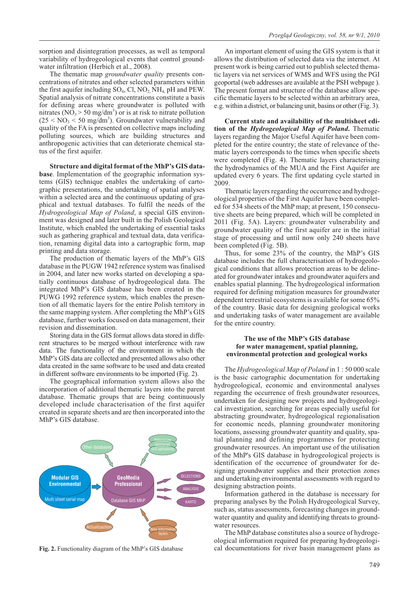sorption and disintegration processes, as well as temporal variability of hydrogeological events that control groundwater infiltration (Herbich et al., 2008).

The thematic map *groundwater quality* presents concentrations of nitrates and other selected parameters within the first aquifer including  $SO_4$ , Cl,  $NO_2$ , NH<sub>4</sub>, pH and PEW. Spatial analysis of nitrate concentrations constitute a basis for defining areas where groundwater is polluted with nitrates ( $\overline{NO_3}$  > 50 mg/dm<sup>3</sup>) or is at risk to nitrate pollution  $(25 < NO<sub>3</sub> < 50 mg/dm<sup>3</sup>)$ . Groundwater vulnerability and quality of the FA is presented on collective maps including polluting sources, which are building structures and anthropogenic activities that can deteriorate chemical status of the first aquifer.

**Structure and digital format of the MhP's GIS database**. Implementation of the geographic information systems (GIS) technique enables the undertaking of cartographic presentations, the undertaking of spatial analyses within a selected area and the continuous updating of graphical and textual databases. To fulfil the needs of the *Hydrogeological Map of Poland*, a special GIS environment was designed and later built in the Polish Geological Institute, which enabled the undertaking of essential tasks such as gathering graphical and textual data, data verification, renaming digital data into a cartographic form, map printing and data storage.

The production of thematic layers of the MhP's GIS database in the PUGW 1942 reference system was finalised in 2004, and later new works started on developing a spatially continuous database of hydrogeological data. The integrated MhP's GIS database has been created in the PUWG 1992 reference system, which enables the presention of all thematic layers for the entire Polish territory in the same mapping system. After completing the MhP's GIS database, further works focused on data management, their revision and dissemination.

Storing data in the GIS format allows data stored in different structures to be merged without interference with raw data. The functionality of the environment in which the MhP's GIS data are collected and presented allows also other data created in the same software to be used and data created in different software environments to be imported (Fig. 2).

The geographical information system allows also the incorporation of additional thematic layers into the parent database. Thematic groups that are being continuously developed include characterisation of the first aquifer created in separate sheets and are then incorporated into the MhP's GIS database.



**Fig. 2.** Functionality diagram of the MhP's GIS database

An important element of using the GIS system is that it allows the distribution of selected data via the internet. At present work is being carried out to publish selected thematic layers via net services of WMS and WFS using the PGI geoportal (web addresses are available at the PSH webpage ). The present format and structure of the database allow specific thematic layers to be selected within an arbitrary area, e.g. within a district, or balancing unit, basins or other (Fig. 3).

**Current state and availability of the multisheet edition of the** *Hydrogeological Map of Poland***.** Thematic layers regarding the Major Useful Aquifer have been completed for the entire country; the state of relevance of thematic layers corresponds to the times when specific sheets were completed (Fig. 4). Thematic layers characterising the hydrodynamics of the MUA and the First Aquifer are updated every 6 years. The first updating cycle started in 2009.

Thematic layers regarding the occurrence and hydrogeological properties of the First Aquifer have been completed for 534 sheets of the MhP map; at present, 150 consecutive sheets are being prepared, which will be completed in 2011 (Fig. 5A). Layers: groundwater vulnerability and groundwater quality of the first aquifer are in the initial stage of processing and until now only 240 sheets have been completed (Fig. 5B).

Thus, for some 23% of the country, the MhP's GIS database includes the full characterisation of hydrogeological conditions that allows protection areas to be delineated for groundwater intakes and groundwater aquifers and enables spatial planning. The hydrogeological information required for defining mitigation measures for groundwater dependent terrestrial ecosystems is available for some 65% of the country. Basic data for designing geological works and undertaking tasks of water management are available for the entire country.

## **The use of the MhP's GIS database for water management, spatial planning, environmental protection and geological works**

The *Hydrogeological Map of Poland* in 1 : 50 000 scale is the basic cartographic documentation for undertaking hydrogeological, economic and environmental analyses regarding the occurrence of fresh groundwater resources, undertaken for designing new projects and hydrogeological investigation, searching for areas especially useful for abstracting groundwater, hydrogeological regionalisation for economic needs, planning groundwater monitoring locations, assessing groundwater quantity and quality, spatial planning and defining programmes for protecting groundwater resources. An important use of the utilisation of the MhP's GIS database in hydrogeological projects is identification of the occurrence of groundwater for designing groundwater supplies and their protection zones and undertaking environmental assessments with regard to designing abstraction points.

Information gathered in the database is necessary for preparing analyses by the Polish Hydrogeological Survey, such as, status assessments, forecasting changes in groundwater quantity and quality and identifying threats to groundwater resources.

The MhP database constitutes also a source of hydrogeological information required for preparing hydrogeological documentations for river basin management plans as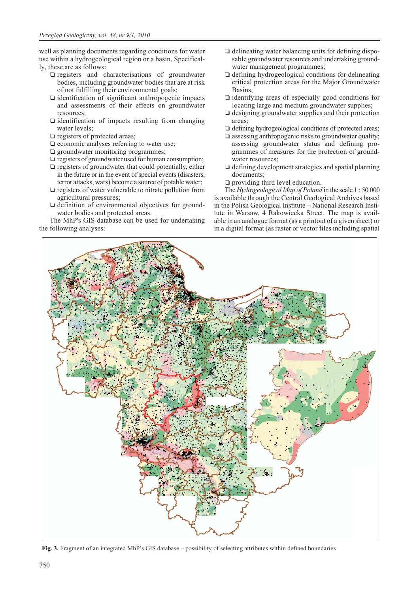well as planning documents regarding conditions for water use within a hydrogeological region or a basin. Specifically, these are as follows:

- registers and characterisations of groundwater bodies, including groundwater bodies that are at risk of not fulfilling their environmental goals;
- identification of significant anthropogenic impacts and assessments of their effects on groundwater resources;
- identification of impacts resulting from changing water levels;
- **Q** registers of protected areas;
- $\square$  economic analyses referring to water use;
- **q** groundwater monitoring programmes;
- $\square$  registers of groundwater used for human consumption;
- $\square$  registers of groundwater that could potentially, either in the future or in the event of special events (disasters, terror attacks, wars) become a source of potable water;
- registers of water vulnerable to nitrate pollution from agricultural pressures;
- definition of environmental objectives for groundwater bodies and protected areas.

The MhP's GIS database can be used for undertaking the following analyses:

- delineating water balancing units for defining disposable groundwater resources and undertaking groundwater management programmes;
- defining hydrogeological conditions for delineating critical protection areas for the Major Groundwater Basins;
- identifying areas of especially good conditions for locating large and medium groundwater supplies;
- $\square$  designing groundwater supplies and their protection areas;
- $\Box$  defining hydrogeological conditions of protected areas;
- $\square$  assessing anthropogenic risks to groundwater quality; assessing groundwater status and defining programmes of measures for the protection of groundwater resources;
- defining development strategies and spatial planning documents;
- providing third level education.

The *Hydrogeological Map of Poland* in the scale 1 : 50 000 is available through the Central Geological Archives based in the Polish Geological Institute – National Research Institute in Warsaw, 4 Rakowiecka Street. The map is available in an analogue format (as a printout of a given sheet) or in a digital format (as raster or vector files including spatial



**Fig. 3.** Fragment of an integrated MhP's GIS database – possibility of selecting attributes within defined boundaries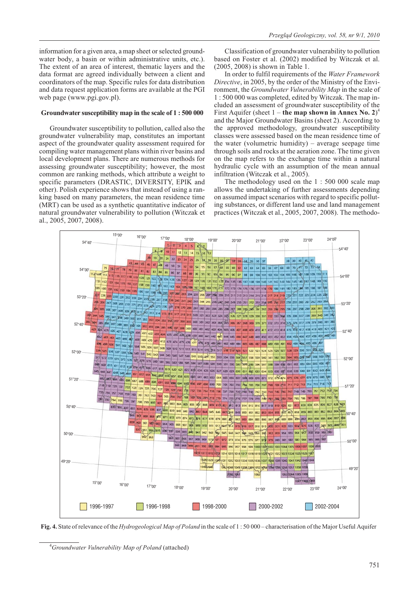information for a given area, a map sheet or selected groundwater body, a basin or within administrative units, etc.). The extent of an area of interest, thematic layers and the data format are agreed individually between a client and coordinators of the map. Specific rules for data distribution and data request application forms are available at the PGI web page (www.pgi.gov.pl).

### **Groundwater susceptibility map in the scale of 1 : 500 000**

Groundwater susceptibility to pollution, called also the groundwater vulnerability map, constitutes an important aspect of the groundwater quality assessment required for compiling water management plans within river basins and local development plans. There are numerous methods for assessing groundwater susceptibility; however, the most common are ranking methods, which attribute a weight to specific parameters (DRASTIC, DIVERSITY, EPIK and other). Polish experience shows that instead of using a ranking based on many parameters, the mean residence time (MRT) can be used as a synthetic quantitative indicator of natural groundwater vulnerability to pollution (Witczak et al., 2005, 2007, 2008).

Classification of groundwater vulnerability to pollution based on Foster et al. (2002) modified by Witczak et al. (2005, 2008) is shown in Table 1.

In order to fulfil requirements of the *Water Framework Directive*, in 2005, by the order of the Ministry of the Environment, the *Groundwater Vulnerability Map* in the scale of 1 : 500 000 was completed, edited by Witczak. The map included an assessment of groundwater susceptibility of the First Aquifer (sheet 1 – **the map shown in Annex No. 2**)<sup>4</sup> and the Major Groundwater Basins (sheet 2). According to the approved methodology, groundwater susceptibility classes were assessed based on the mean residence time of the water (volumetric humidity) – average seepage time through soils and rocks at the aeration zone. The time given on the map refers to the exchange time within a natural hydraulic cycle with an assumption of the mean annual infiltration (Witczak et al., 2005).

The methodology used on the 1 : 500 000 scale map allows the undertaking of further assessments depending on assumed impact scenarios with regard to specific polluting substances, or different land use and land management practices (Witczak et al., 2005, 2007, 2008). The methodo-



**Fig. 4.** State of relevance of the *Hydrogeological Map of Poland* in the scale of 1 : 50 000 – characterisation of the Major Useful Aquifer

<sup>4</sup> *Groundwater Vulnerability Map of Poland* (attached)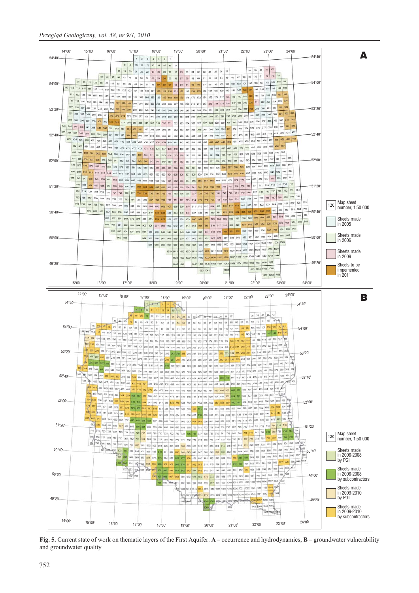

**Fig. 5.** Current state of work on thematic layers of the First Aquifer: **A** – occurrence and hydrodynamics; **B** – groundwater vulnerability and groundwater quality